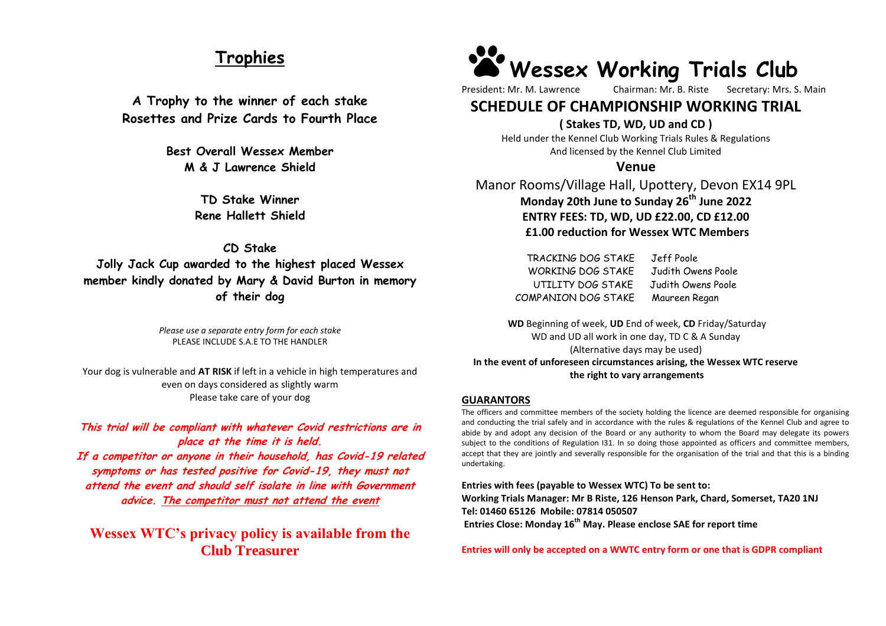# **Trophies**

**A Trophy to the winner of each stake Rosettes and Prize Cards to Fourth Place**

> **Best Overall Wessex Member M & J Lawrence Shield**

> > **TD Stake Winner Rene Hallett Shield**

# **CD Stake Jolly Jack Cup awarded to the highest placed Wessex member kindly donated by Mary & David Burton in memory of their dog**

*Please use a separate entry form for each stake* PLEASE INCLUDE S.A.E TO THE HANDLER

Your dog is vulnerable and **AT RISK** if left in a vehicle in high temperatures and even on days considered as slightly warm Please take care of your dog

**This trial will be compliant with whatever Covid restrictions are in place at the time it is held. If a competitor or anyone in their household, has Covid-19 related symptoms or has tested positive for Covid-19, they must not attend the event and should self isolate in line with Government advice. The competitor must not attend the event**

**Wessex WTC's privacy policy is available from the Club Treasurer**

# **[W](https://www.google.co.uk/url?sa=i&rct=j&q=&esrc=s&source=images&cd=&cad=rja&uact=8&ved=2ahUKEwippNOKy7zaAhWCaxQKHTj6AYgQjRx6BAgAEAU&url=https://www.etsy.com/listing/262444881/paw-print-decal-paw-print-sticker&psig=AOvVaw0PzzcR3LcEgGSe3_GCk4T9&ust=1523892222416288)essex Working Trials Club**

President: Mr. M. Lawrence Chairman: Mr. B. Riste Secretary: Mrs. S. Main

# **SCHEDULE OF CHAMPIONSHIP WORKING TRIAL**

# **( Stakes TD, WD, UD and CD )**

Held under the Kennel Club Working Trials Rules & Regulations And licensed by the Kennel Club Limited

## **Venue**

Manor Rooms/Village Hall, Upottery, Devon EX14 9PL **Monday 20th June to Sunday 26 th June 2022 ENTRY FEES: TD, WD, UD £22.00, CD £12.00 £1.00 reduction for Wessex WTC Members**

> TRACKING DOG STAKE Jeff Poole WORKING DOG STAKE Judith Owens Poole UTILITY DOG STAKE Judith Owens Poole COMPANION DOG STAKE Maureen Regan

**WD** Beginning of week, **UD** End of week, **CD** Friday/Saturday WD and UD all work in one day, TD C & A Sunday (Alternative days may be used) **In the event of unforeseen circumstances arising, the Wessex WTC reserve the right to vary arrangements**

## **GUARANTORS**

The officers and committee members of the society holding the licence are deemed responsible for organising and conducting the trial safely and in accordance with the rules & regulations of the Kennel Club and agree to abide by and adopt any decision of the Board or any authority to whom the Board may delegate its powers subject to the conditions of Regulation I31. In so doing those appointed as officers and committee members, accept that they are jointly and severally responsible for the organisation of the trial and that this is a binding undertaking.

**Entries with fees (payable to Wessex WTC) To be sent to: Working Trials Manager: Mr B Riste, 126 Henson Park, Chard, Somerset, TA20 1NJ Tel: 01460 65126 Mobile: 07814 050507 Entries Close: Monday 16th May. Please enclose SAE for report time**

**Entries will only be accepted on a WWTC entry form or one that is GDPR compliant**